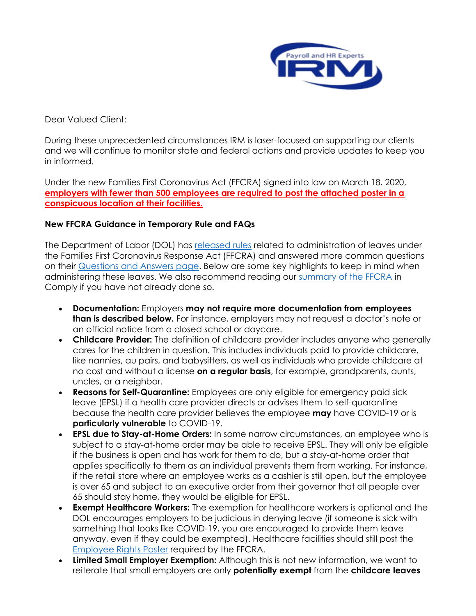

Dear Valued Client:

During these unprecedented circumstances IRM is laser-focused on supporting our clients and we will continue to monitor state and federal actions and provide updates to keep you in informed.

Under the new Families First Coronavirus Act (FFCRA) signed into law on March 18. 2020, **employers with fewer than 500 employees are required to post the attached poster in a conspicuous location at their facilities.** 

## **New FFCRA Guidance in Temporary Rule and FAQs**

The Department of Labor (DOL) has [released rules](http://links.thinkhr.com/WK0qQWTjR071W9o00R0e100) related to administration of leaves under the Families First Coronavirus Response Act (FFCRA) and answered more common questions on their [Questions and Answers page.](http://links.thinkhr.com/MW0W0R0eK1jq900RR0oT081) Below are some key highlights to keep in mind when administering these leaves. We also recommend reading our [summary of the FFCRA](http://links.thinkhr.com/TSWK10o0q000eT910RjR9W0) in Comply if you have not already done so.

- **Documentation:** Employers **may not require more documentation from employees than is described below.** For instance, employers may not request a doctor's note or an official notice from a closed school or daycare.
- **Childcare Provider:** The definition of childcare provider includes anyone who generally cares for the children in question. This includes individuals paid to provide childcare, like nannies, au pairs, and babysitters, as well as individuals who provide childcare at no cost and without a license **on a regular basis**, for example, grandparents, aunts, uncles, or a neighbor.
- **Reasons for Self-Quarantine:** Employees are only eligible for emergency paid sick leave (EPSL) if a health care provider directs or advises them to self-quarantine because the health care provider believes the employee **may** have COVID-19 or is **particularly vulnerable** to COVID-19.
- **EPSL due to Stay-at-Home Orders:** In some narrow circumstances, an employee who is subject to a stay-at-home order may be able to receive EPSL. They will only be eligible if the business is open and has work for them to do, but a stay-at-home order that applies specifically to them as an individual prevents them from working. For instance, if the retail store where an employee works as a cashier is still open, but the employee is over 65 and subject to an executive order from their governor that all people over 65 should stay home, they would be eligible for EPSL.
- **Exempt Healthcare Workers:** The exemption for healthcare workers is optional and the DOL encourages employers to be judicious in denying leave (if someone is sick with something that looks like COVID-19, you are encouraged to provide them leave anyway, even if they could be exempted). Healthcare facilities should still post the [Employee Rights Poster](http://links.thinkhr.com/ZTWjo0qT90000R0ea10RWK1) required by the FFCRA.
- **Limited Small Employer Exemption:** Although this is not new information, we want to reiterate that small employers are only **potentially exempt** from the **childcare leaves**